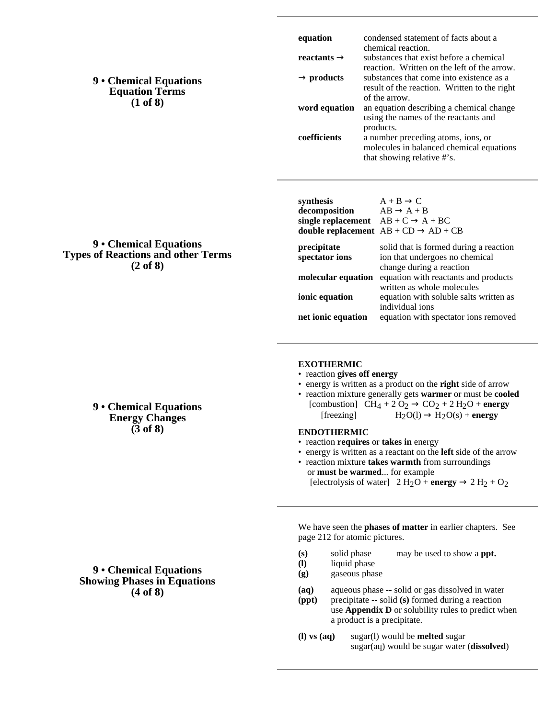# **9 • Chemical Equations Equation Terms (1 of 8)**

**9 • Chemical Equations Types of Reactions and other Terms (2 of 8)**

| equation      | condensed statement of facts about a                                                                         |
|---------------|--------------------------------------------------------------------------------------------------------------|
| reactants     | chemical reaction.<br>substances that exist before a chemical<br>reaction. Written on the left of the arrow. |
| products      | substances that come into existence as a                                                                     |
|               | result of the reaction. Written to the right                                                                 |
|               | of the arrow.                                                                                                |
| word equation | an equation describing a chemical change                                                                     |
|               | using the names of the reactants and                                                                         |
|               | products.                                                                                                    |
| coefficients  | a number preceding atoms, ions, or                                                                           |
|               | molecules in balanced chemical equations                                                                     |
|               | that showing relative #'s.                                                                                   |
|               |                                                                                                              |
|               |                                                                                                              |
|               |                                                                                                              |

| synthesis<br>decomposition<br>single replacement $AB + C = A + BC$<br><b>double replacement</b> $AB + CD$ | $A + B$ C<br>$AB \tA+B$<br>$AD + CB$                                                                 |
|-----------------------------------------------------------------------------------------------------------|------------------------------------------------------------------------------------------------------|
| precipitate<br>spectator ions                                                                             | solid that is formed during a reaction<br>ion that undergoes no chemical<br>change during a reaction |
| molecular equation                                                                                        | equation with reactants and products                                                                 |
| ionic equation                                                                                            | written as whole molecules<br>equation with soluble salts written as<br>individual ions              |
| net ionic equation                                                                                        | equation with spectator ions removed                                                                 |

### **EXOTHERMIC**

- reaction **gives off energy**
- energy is written as a product on the **right** side of arrow
- reaction mixture generally gets **warmer** or must be **cooled** [combustion]  $CH<sub>A</sub> + 20$ <sub>2</sub> CO<sub>2</sub> + 2 H<sub>2</sub>O + **energy**

### **ENDOTHERMIC**

- reaction **requires** or **takes in** energy
- energy is written as a reactant on the **left** side of the arrow • reaction mixture **takes warmth** from surroundings
	- or **must be warmed**... for example [electrolysis of water]  $2 \text{ H}_2\text{O} + \text{energy} = 2 \text{ H}_2 + \text{O}_2$

We have seen the **phases of matter** in earlier chapters. See page 212 for atomic pictures.

**(s)** solid phase may be used to show a **ppt.**

liquid phase

**(g)** gaseous phase

**(aq)** aqueous phase -- solid or gas dissolved in water

- **(ppt)** precipitate -- solid **(s)** formed during a reaction use **Appendix D** or solubility rules to predict when a product is a precipitate.
- **(l) vs (aq)** sugar(l) would be **melted** sugar sugar(aq) would be sugar water (**dissolved**)

**9 • Chemical Equations Energy Changes (3 of 8)**

## **9 • Chemical Equations Showing Phases in Equations (4 of 8)**

[
$$
\text{from} \text{but} \text{to} \text{H}_1 + 2 \text{O}_2 \text{CO}_2 + 2 \text{H}_2\text{O}
$$
  
\n[ $\text{freezing}$   $H_2\text{O}(1) \text{H}_2\text{O}(s) + \epsilon$ 

- 
- energy